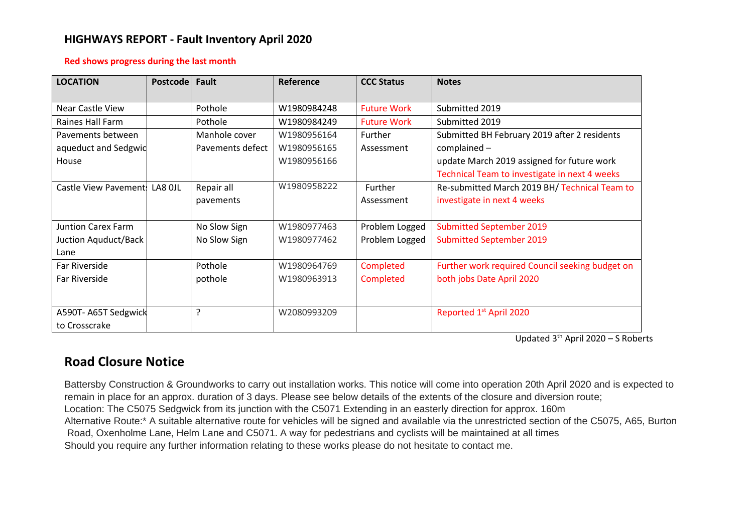## **HIGHWAYS REPORT - Fault Inventory April 2020**

## **Red shows progress during the last month**

| <b>LOCATION</b>               | Postcode | Fault            | Reference   | <b>CCC Status</b>  | <b>Notes</b>                                    |
|-------------------------------|----------|------------------|-------------|--------------------|-------------------------------------------------|
| Near Castle View              |          | Pothole          | W1980984248 | <b>Future Work</b> | Submitted 2019                                  |
| Raines Hall Farm              |          | Pothole          | W1980984249 | <b>Future Work</b> | Submitted 2019                                  |
| Pavements between             |          | Manhole cover    | W1980956164 | Further            | Submitted BH February 2019 after 2 residents    |
| aqueduct and Sedgwid          |          | Pavements defect | W1980956165 | Assessment         | $complained -$                                  |
| House                         |          |                  | W1980956166 |                    | update March 2019 assigned for future work      |
|                               |          |                  |             |                    | Technical Team to investigate in next 4 weeks   |
| Castle View Pavement: LA8 OJL |          | Repair all       | W1980958222 | Further            | Re-submitted March 2019 BH/ Technical Team to   |
|                               |          | pavements        |             | Assessment         | investigate in next 4 weeks                     |
|                               |          |                  |             |                    |                                                 |
| <b>Juntion Carex Farm</b>     |          | No Slow Sign     | W1980977463 | Problem Logged     | <b>Submitted September 2019</b>                 |
| Juction Aquduct/Back          |          | No Slow Sign     | W1980977462 | Problem Logged     | <b>Submitted September 2019</b>                 |
| Lane                          |          |                  |             |                    |                                                 |
| Far Riverside                 |          | Pothole          | W1980964769 | Completed          | Further work required Council seeking budget on |
| Far Riverside                 |          | pothole          | W1980963913 | Completed          | both jobs Date April 2020                       |
|                               |          |                  |             |                    |                                                 |
| A590T-A65T Sedgwick           |          | ?                | W2080993209 |                    | Reported 1st April 2020                         |
| to Crosscrake                 |          |                  |             |                    |                                                 |

Updated 3<sup>th</sup> April 2020 - S Roberts

## **Road Closure Notice**

Battersby Construction & Groundworks to carry out installation works. This notice will come into operation 20th April 2020 and is expected to remain in place for an approx. duration of 3 days. Please see below details of the extents of the closure and diversion route; Location: The C5075 Sedgwick from its junction with the C5071 Extending in an easterly direction for approx. 160m Alternative Route:\* A suitable alternative route for vehicles will be signed and available via the unrestricted section of the C5075, A65, Burton Road, Oxenholme Lane, Helm Lane and C5071. A way for pedestrians and cyclists will be maintained at all times Should you require any further information relating to these works please do not hesitate to contact me.